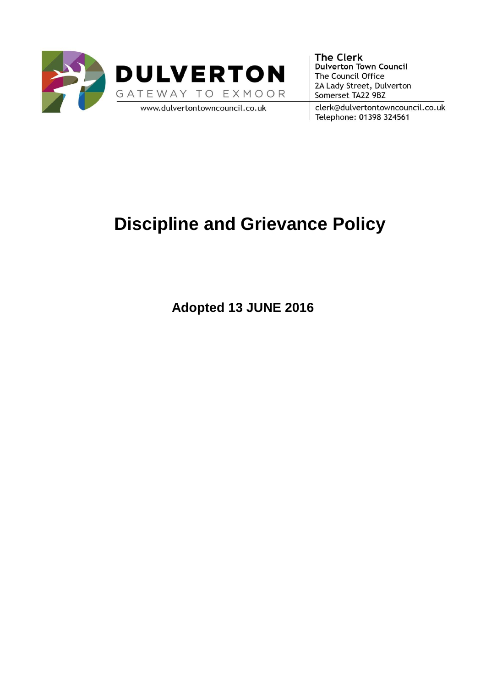

**The Clerk Dulverton Town Council** The Council Office 2A Lady Street, Dulverton Somerset TA22 9BZ

clerk@dulvertontowncouncil.co.uk Telephone: 01398 324561

# **Discipline and Grievance Policy**

**Adopted 13 JUNE 2016**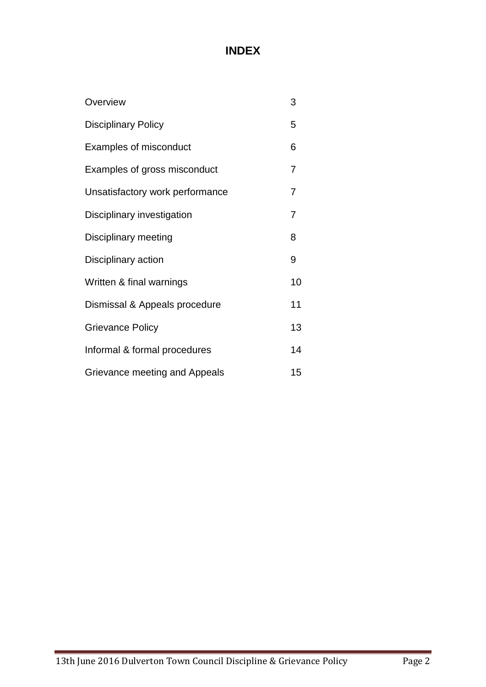## **INDEX**

| Overview                        | 3  |
|---------------------------------|----|
| <b>Disciplinary Policy</b>      | 5  |
| Examples of misconduct          | 6  |
| Examples of gross misconduct    | 7  |
| Unsatisfactory work performance | 7  |
| Disciplinary investigation      | 7  |
| Disciplinary meeting            | 8  |
| Disciplinary action             | 9  |
| Written & final warnings        | 10 |
| Dismissal & Appeals procedure   | 11 |
| <b>Grievance Policy</b>         | 13 |
| Informal & formal procedures    | 14 |
| Grievance meeting and Appeals   | 15 |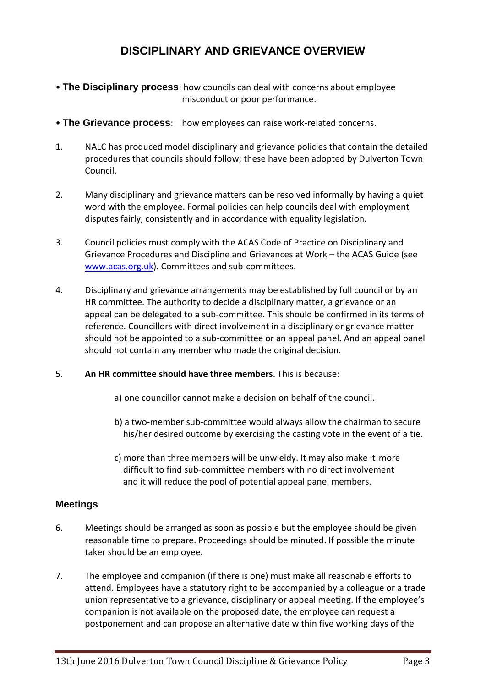### **DISCIPLINARY AND GRIEVANCE OVERVIEW**

- **The Disciplinary process**: how councils can deal with concerns about employee misconduct or poor performance.
- **The Grievance process**: how employees can raise work-related concerns.
- 1. NALC has produced model disciplinary and grievance policies that contain the detailed procedures that councils should follow; these have been adopted by Dulverton Town Council.
- 2. Many disciplinary and grievance matters can be resolved informally by having a quiet word with the employee. Formal policies can help councils deal with employment disputes fairly, consistently and in accordance with equality legislation.
- 3. Council policies must comply with the ACAS Code of Practice on Disciplinary and Grievance Procedures and Discipline and Grievances at Work – the ACAS Guide (see [www.acas.org.uk\)](http://www.acas.org.uk/). Committees and sub-committees.
- 4. Disciplinary and grievance arrangements may be established by full council or by an HR committee. The authority to decide a disciplinary matter, a grievance or an appeal can be delegated to a sub-committee. This should be confirmed in its terms of reference. Councillors with direct involvement in a disciplinary or grievance matter should not be appointed to a sub-committee or an appeal panel. And an appeal panel should not contain any member who made the original decision.

#### 5. **An HR committee should have three members**. This is because:

- a) one councillor cannot make a decision on behalf of the council.
- b) a two-member sub-committee would always allow the chairman to secure his/her desired outcome by exercising the casting vote in the event of a tie.
- c) more than three members will be unwieldy. It may also make it more difficult to find sub-committee members with no direct involvement and it will reduce the pool of potential appeal panel members.

#### **Meetings**

- 6. Meetings should be arranged as soon as possible but the employee should be given reasonable time to prepare. Proceedings should be minuted. If possible the minute taker should be an employee.
- 7. The employee and companion (if there is one) must make all reasonable efforts to attend. Employees have a statutory right to be accompanied by a colleague or a trade union representative to a grievance, disciplinary or appeal meeting. If the employee's companion is not available on the proposed date, the employee can request a postponement and can propose an alternative date within five working days of the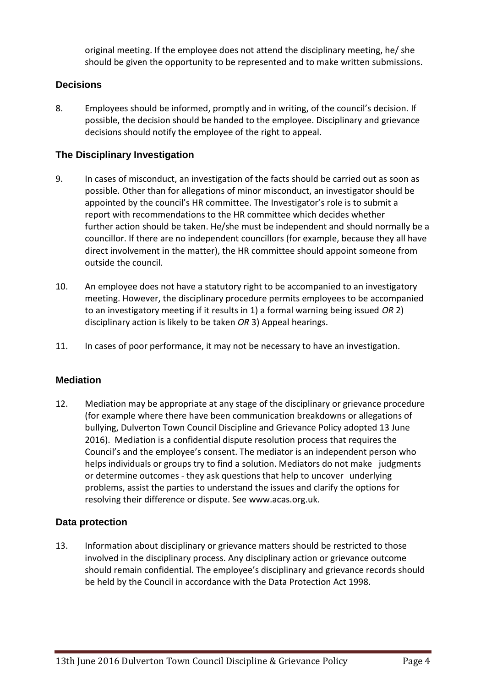original meeting. If the employee does not attend the disciplinary meeting, he/ she should be given the opportunity to be represented and to make written submissions.

#### **Decisions**

8. Employees should be informed, promptly and in writing, of the council's decision. If possible, the decision should be handed to the employee. Disciplinary and grievance decisions should notify the employee of the right to appeal.

#### **The Disciplinary Investigation**

- 9. In cases of misconduct, an investigation of the facts should be carried out as soon as possible. Other than for allegations of minor misconduct, an investigator should be appointed by the council's HR committee. The Investigator's role is to submit a report with recommendations to the HR committee which decides whether further action should be taken. He/she must be independent and should normally be a councillor. If there are no independent councillors (for example, because they all have direct involvement in the matter), the HR committee should appoint someone from outside the council.
- 10. An employee does not have a statutory right to be accompanied to an investigatory meeting. However, the disciplinary procedure permits employees to be accompanied to an investigatory meeting if it results in 1) a formal warning being issued *OR* 2) disciplinary action is likely to be taken *OR* 3) Appeal hearings.
- 11. In cases of poor performance, it may not be necessary to have an investigation.

#### **Mediation**

12. Mediation may be appropriate at any stage of the disciplinary or grievance procedure (for example where there have been communication breakdowns or allegations of bullying, Dulverton Town Council Discipline and Grievance Policy adopted 13 June 2016). Mediation is a confidential dispute resolution process that requires the Council's and the employee's consent. The mediator is an independent person who helps individuals or groups try to find a solution. Mediators do not make judgments or determine outcomes - they ask questions that help to uncover underlying problems, assist the parties to understand the issues and clarify the options for resolving their difference or dispute. See www.acas.org.uk.

#### **Data protection**

13. Information about disciplinary or grievance matters should be restricted to those involved in the disciplinary process. Any disciplinary action or grievance outcome should remain confidential. The employee's disciplinary and grievance records should be held by the Council in accordance with the Data Protection Act 1998.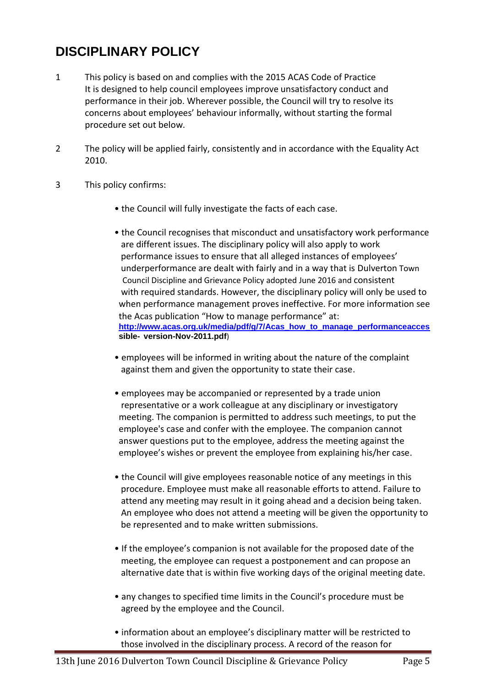## **DISCIPLINARY POLICY**

- 1 This policy is based on and complies with the 2015 ACAS Code of Practice It is designed to help council employees improve unsatisfactory conduct and performance in their job. Wherever possible, the Council will try to resolve its concerns about employees' behaviour informally, without starting the formal procedure set out below.
- 2 The policy will be applied fairly, consistently and in accordance with the Equality Act 2010.
- 3 This policy confirms:
	- the Council will fully investigate the facts of each case.
	- the Council recognises that misconduct and unsatisfactory work performance are different issues. The disciplinary policy will also apply to work performance issues to ensure that all alleged instances of employees' underperformance are dealt with fairly and in a way that is Dulverton Town Council Discipline and Grievance Policy adopted June 2016 and consistent with required standards. However, the disciplinary policy will only be used to when performance management proves ineffective. For more information see the Acas publication "How to manage performance" at: **[http://www.acas.org.uk/media/pdf/g/7/Acas\\_how\\_to\\_manage\\_performanceacces](http://www.acas.org.uk/media/pdf/g/7/Acas_how_to_manage_performanceacces) sible- version-Nov-2011.pdf**)
	- employees will be informed in writing about the nature of the complaint against them and given the opportunity to state their case.
	- employees may be accompanied or represented by a trade union representative or a work colleague at any disciplinary or investigatory meeting. The companion is permitted to address such meetings, to put the employee's case and confer with the employee. The companion cannot answer questions put to the employee, address the meeting against the employee's wishes or prevent the employee from explaining his/her case.
	- the Council will give employees reasonable notice of any meetings in this procedure. Employee must make all reasonable efforts to attend. Failure to attend any meeting may result in it going ahead and a decision being taken. An employee who does not attend a meeting will be given the opportunity to be represented and to make written submissions.
	- If the employee's companion is not available for the proposed date of the meeting, the employee can request a postponement and can propose an alternative date that is within five working days of the original meeting date.
	- any changes to specified time limits in the Council's procedure must be agreed by the employee and the Council.
	- information about an employee's disciplinary matter will be restricted to those involved in the disciplinary process. A record of the reason for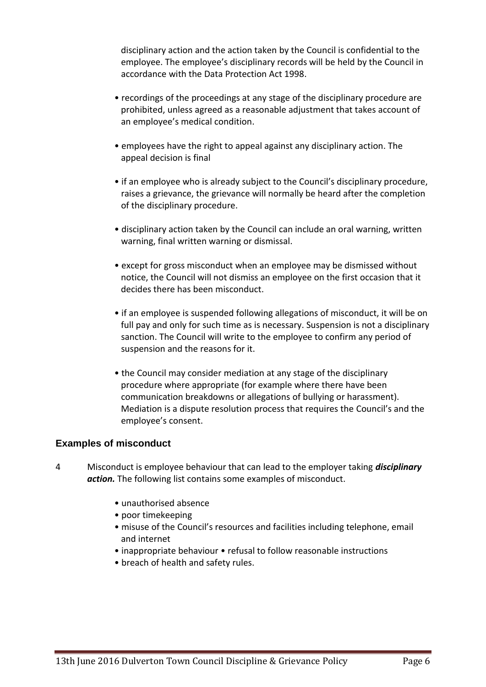disciplinary action and the action taken by the Council is confidential to the employee. The employee's disciplinary records will be held by the Council in accordance with the Data Protection Act 1998.

- recordings of the proceedings at any stage of the disciplinary procedure are prohibited, unless agreed as a reasonable adjustment that takes account of an employee's medical condition.
- employees have the right to appeal against any disciplinary action. The appeal decision is final
- if an employee who is already subject to the Council's disciplinary procedure, raises a grievance, the grievance will normally be heard after the completion of the disciplinary procedure.
- disciplinary action taken by the Council can include an oral warning, written warning, final written warning or dismissal.
- except for gross misconduct when an employee may be dismissed without notice, the Council will not dismiss an employee on the first occasion that it decides there has been misconduct.
- if an employee is suspended following allegations of misconduct, it will be on full pay and only for such time as is necessary. Suspension is not a disciplinary sanction. The Council will write to the employee to confirm any period of suspension and the reasons for it.
- the Council may consider mediation at any stage of the disciplinary procedure where appropriate (for example where there have been communication breakdowns or allegations of bullying or harassment). Mediation is a dispute resolution process that requires the Council's and the employee's consent.

#### **Examples of misconduct**

- 4 Misconduct is employee behaviour that can lead to the employer taking *disciplinary action.* The following list contains some examples of misconduct.
	- unauthorised absence
	- poor timekeeping
	- misuse of the Council's resources and facilities including telephone, email and internet
	- inappropriate behaviour refusal to follow reasonable instructions
	- breach of health and safety rules.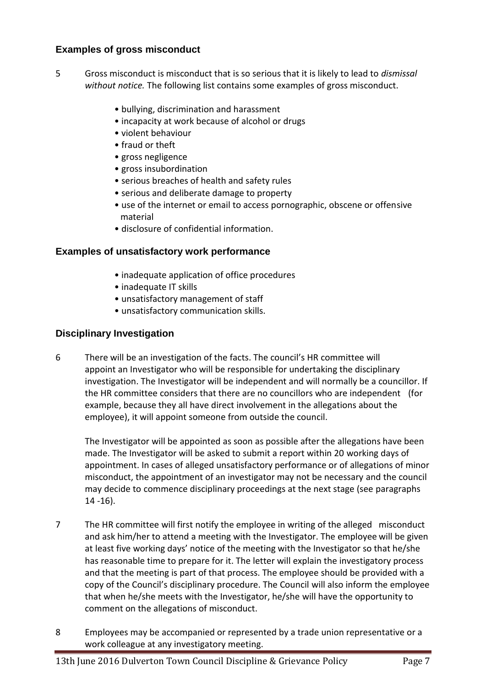#### **Examples of gross misconduct**

- 5 Gross misconduct is misconduct that is so serious that it is likely to lead to *dismissal without notice.* The following list contains some examples of gross misconduct.
	- bullying, discrimination and harassment
	- incapacity at work because of alcohol or drugs
	- violent behaviour
	- fraud or theft
	- gross negligence
	- gross insubordination
	- serious breaches of health and safety rules
	- serious and deliberate damage to property
	- use of the internet or email to access pornographic, obscene or offensive material
	- disclosure of confidential information.

#### **Examples of unsatisfactory work performance**

- inadequate application of office procedures
- inadequate IT skills
- unsatisfactory management of staff
- unsatisfactory communication skills.

#### **Disciplinary Investigation**

6 There will be an investigation of the facts. The council's HR committee will appoint an Investigator who will be responsible for undertaking the disciplinary investigation. The Investigator will be independent and will normally be a councillor. If the HR committee considers that there are no councillors who are independent (for example, because they all have direct involvement in the allegations about the employee), it will appoint someone from outside the council.

The Investigator will be appointed as soon as possible after the allegations have been made. The Investigator will be asked to submit a report within 20 working days of appointment. In cases of alleged unsatisfactory performance or of allegations of minor misconduct, the appointment of an investigator may not be necessary and the council may decide to commence disciplinary proceedings at the next stage (see paragraphs 14 -16).

- 7 The HR committee will first notify the employee in writing of the alleged misconduct and ask him/her to attend a meeting with the Investigator. The employee will be given at least five working days' notice of the meeting with the Investigator so that he/she has reasonable time to prepare for it. The letter will explain the investigatory process and that the meeting is part of that process. The employee should be provided with a copy of the Council's disciplinary procedure. The Council will also inform the employee that when he/she meets with the Investigator, he/she will have the opportunity to comment on the allegations of misconduct.
- 8 Employees may be accompanied or represented by a trade union representative or a work colleague at any investigatory meeting.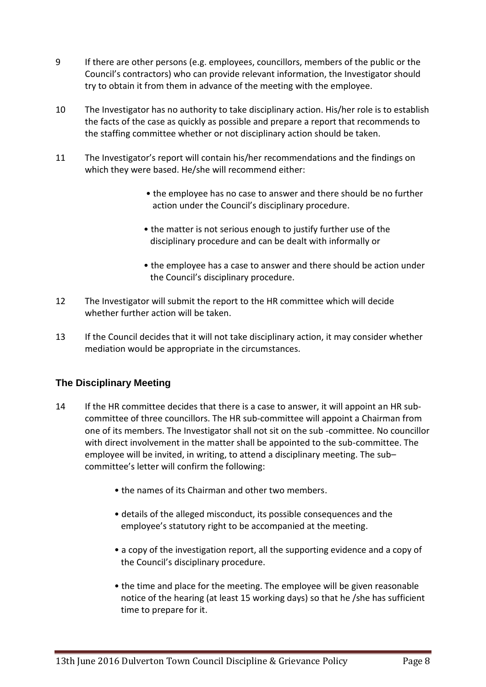- 9 If there are other persons (e.g. employees, councillors, members of the public or the Council's contractors) who can provide relevant information, the Investigator should try to obtain it from them in advance of the meeting with the employee.
- 10 The Investigator has no authority to take disciplinary action. His/her role is to establish the facts of the case as quickly as possible and prepare a report that recommends to the staffing committee whether or not disciplinary action should be taken.
- 11 The Investigator's report will contain his/her recommendations and the findings on which they were based. He/she will recommend either:
	- the employee has no case to answer and there should be no further action under the Council's disciplinary procedure.
	- the matter is not serious enough to justify further use of the disciplinary procedure and can be dealt with informally or
	- the employee has a case to answer and there should be action under the Council's disciplinary procedure.
- 12 The Investigator will submit the report to the HR committee which will decide whether further action will be taken.
- 13 If the Council decides that it will not take disciplinary action, it may consider whether mediation would be appropriate in the circumstances.

#### **The Disciplinary Meeting**

- 14 If the HR committee decides that there is a case to answer, it will appoint an HR subcommittee of three councillors. The HR sub-committee will appoint a Chairman from one of its members. The Investigator shall not sit on the sub -committee. No councillor with direct involvement in the matter shall be appointed to the sub-committee. The employee will be invited, in writing, to attend a disciplinary meeting. The sub– committee's letter will confirm the following:
	- the names of its Chairman and other two members.
	- details of the alleged misconduct, its possible consequences and the employee's statutory right to be accompanied at the meeting.
	- a copy of the investigation report, all the supporting evidence and a copy of the Council's disciplinary procedure.
	- the time and place for the meeting. The employee will be given reasonable notice of the hearing (at least 15 working days) so that he /she has sufficient time to prepare for it.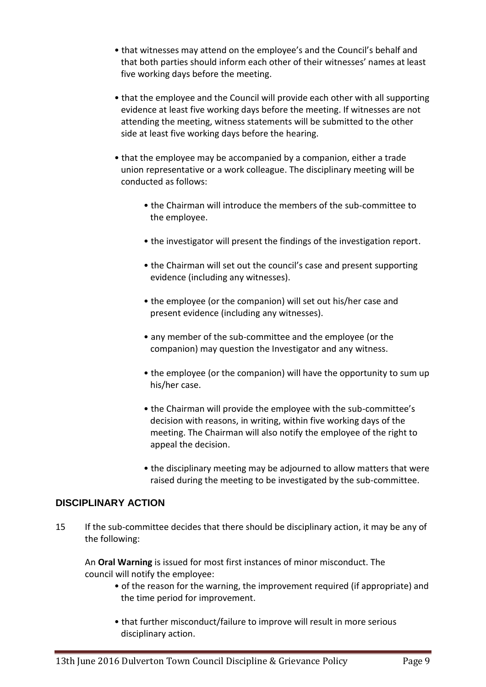- that witnesses may attend on the employee's and the Council's behalf and that both parties should inform each other of their witnesses' names at least five working days before the meeting.
- that the employee and the Council will provide each other with all supporting evidence at least five working days before the meeting. If witnesses are not attending the meeting, witness statements will be submitted to the other side at least five working days before the hearing.
- that the employee may be accompanied by a companion, either a trade union representative or a work colleague. The disciplinary meeting will be conducted as follows:
	- the Chairman will introduce the members of the sub-committee to the employee.
	- the investigator will present the findings of the investigation report.
	- the Chairman will set out the council's case and present supporting evidence (including any witnesses).
	- the employee (or the companion) will set out his/her case and present evidence (including any witnesses).
	- any member of the sub-committee and the employee (or the companion) may question the Investigator and any witness.
	- the employee (or the companion) will have the opportunity to sum up his/her case.
	- the Chairman will provide the employee with the sub-committee's decision with reasons, in writing, within five working days of the meeting. The Chairman will also notify the employee of the right to appeal the decision.
	- the disciplinary meeting may be adjourned to allow matters that were raised during the meeting to be investigated by the sub-committee.

#### **DISCIPLINARY ACTION**

15 If the sub-committee decides that there should be disciplinary action, it may be any of the following:

An **Oral Warning** is issued for most first instances of minor misconduct. The council will notify the employee:

- of the reason for the warning, the improvement required (if appropriate) and the time period for improvement.
- that further misconduct/failure to improve will result in more serious disciplinary action.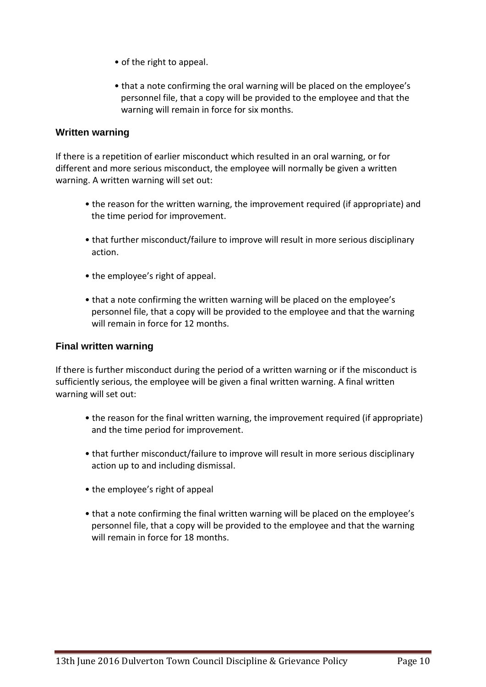- of the right to appeal.
- that a note confirming the oral warning will be placed on the employee's personnel file, that a copy will be provided to the employee and that the warning will remain in force for six months.

#### **Written warning**

If there is a repetition of earlier misconduct which resulted in an oral warning, or for different and more serious misconduct, the employee will normally be given a written warning. A written warning will set out:

- the reason for the written warning, the improvement required (if appropriate) and the time period for improvement.
- that further misconduct/failure to improve will result in more serious disciplinary action.
- the employee's right of appeal.
- that a note confirming the written warning will be placed on the employee's personnel file, that a copy will be provided to the employee and that the warning will remain in force for 12 months.

#### **Final written warning**

If there is further misconduct during the period of a written warning or if the misconduct is sufficiently serious, the employee will be given a final written warning. A final written warning will set out:

- the reason for the final written warning, the improvement required (if appropriate) and the time period for improvement.
- that further misconduct/failure to improve will result in more serious disciplinary action up to and including dismissal.
- the employee's right of appeal
- that a note confirming the final written warning will be placed on the employee's personnel file, that a copy will be provided to the employee and that the warning will remain in force for 18 months.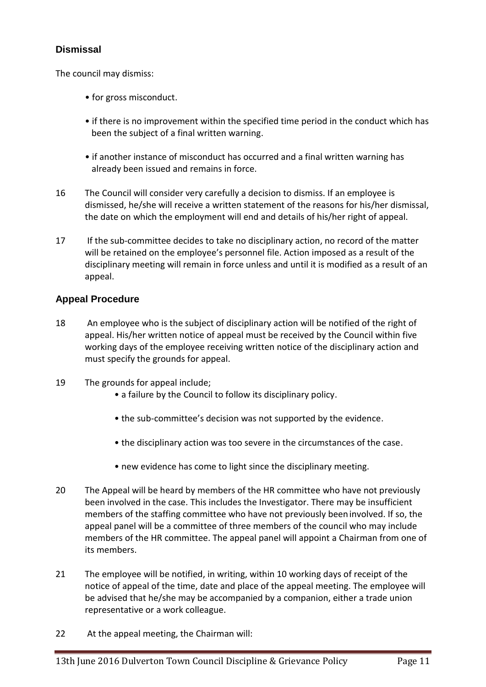#### **Dismissal**

The council may dismiss:

- for gross misconduct.
- if there is no improvement within the specified time period in the conduct which has been the subject of a final written warning.
- if another instance of misconduct has occurred and a final written warning has already been issued and remains in force.
- 16 The Council will consider very carefully a decision to dismiss. If an employee is dismissed, he/she will receive a written statement of the reasons for his/her dismissal, the date on which the employment will end and details of his/her right of appeal.
- 17 If the sub-committee decides to take no disciplinary action, no record of the matter will be retained on the employee's personnel file. Action imposed as a result of the disciplinary meeting will remain in force unless and until it is modified as a result of an appeal.

#### **Appeal Procedure**

- 18 An employee who is the subject of disciplinary action will be notified of the right of appeal. His/her written notice of appeal must be received by the Council within five working days of the employee receiving written notice of the disciplinary action and must specify the grounds for appeal.
- 19 The grounds for appeal include;
	- a failure by the Council to follow its disciplinary policy.
	- the sub-committee's decision was not supported by the evidence.
	- the disciplinary action was too severe in the circumstances of the case.
	- new evidence has come to light since the disciplinary meeting.
- 20 The Appeal will be heard by members of the HR committee who have not previously been involved in the case. This includes the Investigator. There may be insufficient members of the staffing committee who have not previously beeninvolved. If so, the appeal panel will be a committee of three members of the council who may include members of the HR committee. The appeal panel will appoint a Chairman from one of its members.
- 21 The employee will be notified, in writing, within 10 working days of receipt of the notice of appeal of the time, date and place of the appeal meeting. The employee will be advised that he/she may be accompanied by a companion, either a trade union representative or a work colleague.
- 22 At the appeal meeting, the Chairman will: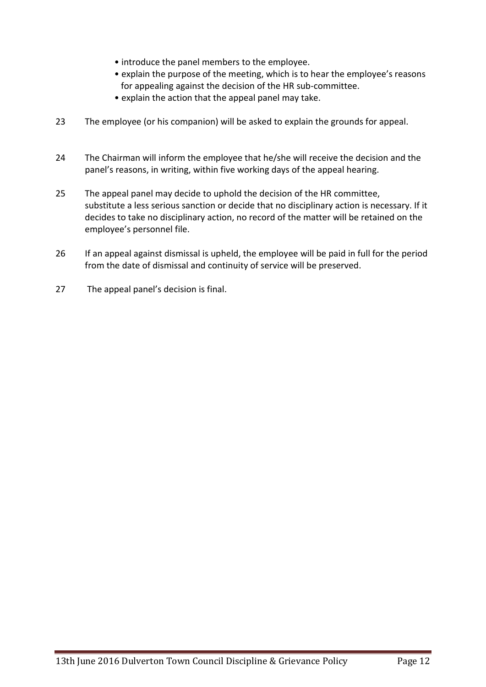- introduce the panel members to the employee.
- explain the purpose of the meeting, which is to hear the employee's reasons for appealing against the decision of the HR sub-committee.
- explain the action that the appeal panel may take.
- 23 The employee (or his companion) will be asked to explain the grounds for appeal.
- 24 The Chairman will inform the employee that he/she will receive the decision and the panel's reasons, in writing, within five working days of the appeal hearing.
- 25 The appeal panel may decide to uphold the decision of the HR committee, substitute a less serious sanction or decide that no disciplinary action is necessary. If it decides to take no disciplinary action, no record of the matter will be retained on the employee's personnel file.
- 26 If an appeal against dismissal is upheld, the employee will be paid in full for the period from the date of dismissal and continuity of service will be preserved.
- 27 The appeal panel's decision is final.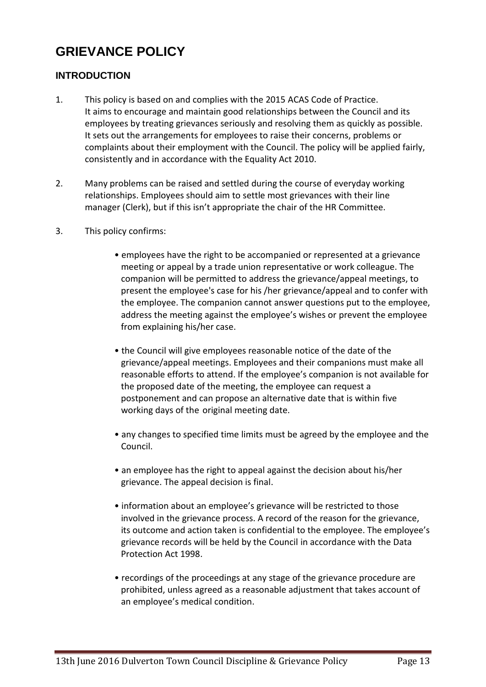## **GRIEVANCE POLICY**

#### **INTRODUCTION**

- 1. This policy is based on and complies with the 2015 ACAS Code of Practice. It aims to encourage and maintain good relationships between the Council and its employees by treating grievances seriously and resolving them as quickly as possible. It sets out the arrangements for employees to raise their concerns, problems or complaints about their employment with the Council. The policy will be applied fairly, consistently and in accordance with the Equality Act 2010.
- 2. Many problems can be raised and settled during the course of everyday working relationships. Employees should aim to settle most grievances with their line manager (Clerk), but if this isn't appropriate the chair of the HR Committee.
- 3. This policy confirms:
	- employees have the right to be accompanied or represented at a grievance meeting or appeal by a trade union representative or work colleague. The companion will be permitted to address the grievance/appeal meetings, to present the employee's case for his /her grievance/appeal and to confer with the employee. The companion cannot answer questions put to the employee, address the meeting against the employee's wishes or prevent the employee from explaining his/her case.
	- the Council will give employees reasonable notice of the date of the grievance/appeal meetings. Employees and their companions must make all reasonable efforts to attend. If the employee's companion is not available for the proposed date of the meeting, the employee can request a postponement and can propose an alternative date that is within five working days of the original meeting date.
	- any changes to specified time limits must be agreed by the employee and the Council.
	- an employee has the right to appeal against the decision about his/her grievance. The appeal decision is final.
	- information about an employee's grievance will be restricted to those involved in the grievance process. A record of the reason for the grievance, its outcome and action taken is confidential to the employee. The employee's grievance records will be held by the Council in accordance with the Data Protection Act 1998.
	- recordings of the proceedings at any stage of the grievance procedure are prohibited, unless agreed as a reasonable adjustment that takes account of an employee's medical condition.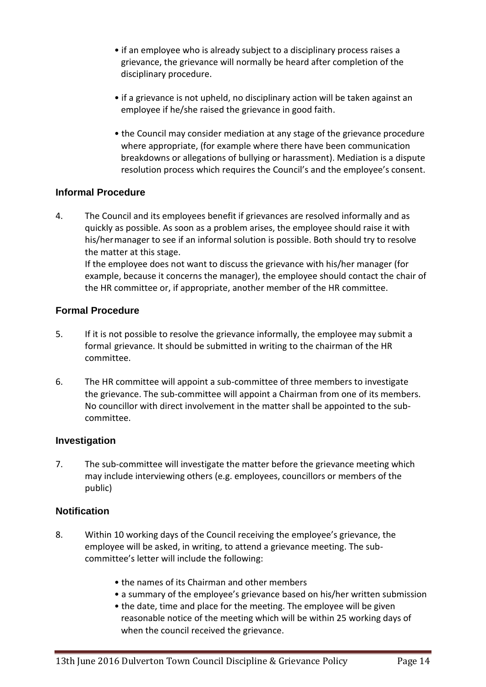- if an employee who is already subject to a disciplinary process raises a grievance, the grievance will normally be heard after completion of the disciplinary procedure.
- if a grievance is not upheld, no disciplinary action will be taken against an employee if he/she raised the grievance in good faith.
- the Council may consider mediation at any stage of the grievance procedure where appropriate, (for example where there have been communication breakdowns or allegations of bullying or harassment). Mediation is a dispute resolution process which requires the Council's and the employee's consent.

#### **Informal Procedure**

4. The Council and its employees benefit if grievances are resolved informally and as quickly as possible. As soon as a problem arises, the employee should raise it with his/hermanager to see if an informal solution is possible. Both should try to resolve the matter at this stage. If the employee does not want to discuss the grievance with his/her manager (for example, because it concerns the manager), the employee should contact the chair of the HR committee or, if appropriate, another member of the HR committee.

#### **Formal Procedure**

- 5. If it is not possible to resolve the grievance informally, the employee may submit a formal grievance. It should be submitted in writing to the chairman of the HR committee.
- 6. The HR committee will appoint a sub-committee of three members to investigate the grievance. The sub-committee will appoint a Chairman from one of its members. No councillor with direct involvement in the matter shall be appointed to the subcommittee.

#### **Investigation**

7. The sub-committee will investigate the matter before the grievance meeting which may include interviewing others (e.g. employees, councillors or members of the public)

#### **Notification**

- 8. Within 10 working days of the Council receiving the employee's grievance, the employee will be asked, in writing, to attend a grievance meeting. The subcommittee's letter will include the following:
	- the names of its Chairman and other members
	- a summary of the employee's grievance based on his/her written submission
	- the date, time and place for the meeting. The employee will be given reasonable notice of the meeting which will be within 25 working days of when the council received the grievance.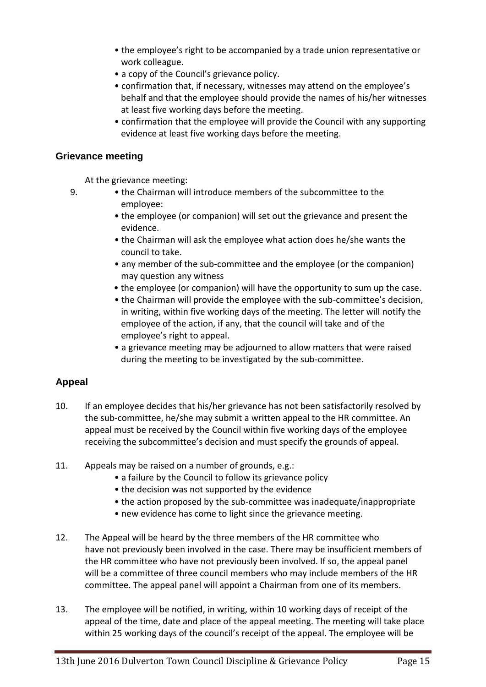- the employee's right to be accompanied by a trade union representative or work colleague.
- a copy of the Council's grievance policy.
- confirmation that, if necessary, witnesses may attend on the employee's behalf and that the employee should provide the names of his/her witnesses at least five working days before the meeting.
- confirmation that the employee will provide the Council with any supporting evidence at least five working days before the meeting.

#### **Grievance meeting**

At the grievance meeting:

- 9. the Chairman will introduce members of the subcommittee to the employee:
	- the employee (or companion) will set out the grievance and present the evidence.
	- the Chairman will ask the employee what action does he/she wants the council to take.
	- any member of the sub-committee and the employee (or the companion) may question any witness
	- the employee (or companion) will have the opportunity to sum up the case.
	- the Chairman will provide the employee with the sub-committee's decision, in writing, within five working days of the meeting. The letter will notify the employee of the action, if any, that the council will take and of the employee's right to appeal.
	- a grievance meeting may be adjourned to allow matters that were raised during the meeting to be investigated by the sub-committee.

#### **Appeal**

- 10. If an employee decides that his/her grievance has not been satisfactorily resolved by the sub-committee, he/she may submit a written appeal to the HR committee. An appeal must be received by the Council within five working days of the employee receiving the subcommittee's decision and must specify the grounds of appeal.
- 11. Appeals may be raised on a number of grounds, e.g.:
	- a failure by the Council to follow its grievance policy
	- the decision was not supported by the evidence
	- the action proposed by the sub-committee was inadequate/inappropriate
	- new evidence has come to light since the grievance meeting.
- 12. The Appeal will be heard by the three members of the HR committee who have not previously been involved in the case. There may be insufficient members of the HR committee who have not previously been involved. If so, the appeal panel will be a committee of three council members who may include members of the HR committee. The appeal panel will appoint a Chairman from one of its members.
- 13. The employee will be notified, in writing, within 10 working days of receipt of the appeal of the time, date and place of the appeal meeting. The meeting will take place within 25 working days of the council's receipt of the appeal. The employee will be